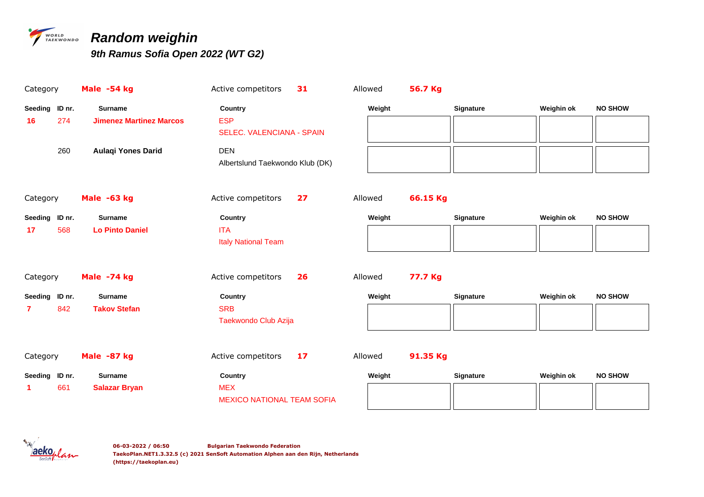

## *PARKWONDO* Random weighin

*9th Ramus Sofia Open 2022 (WT G2)*

| Category                    | Male -54 kg                                      | Active competitors                                        | 31 | Allowed | 56.7 Kg  |                  |            |                |
|-----------------------------|--------------------------------------------------|-----------------------------------------------------------|----|---------|----------|------------------|------------|----------------|
| Seeding ID nr.<br>274<br>16 | <b>Surname</b><br><b>Jimenez Martinez Marcos</b> | Country<br><b>ESP</b><br><b>SELEC. VALENCIANA - SPAIN</b> |    | Weight  |          | <b>Signature</b> | Weighin ok | <b>NO SHOW</b> |
| 260                         | <b>Aulaqi Yones Darid</b>                        | <b>DEN</b><br>Albertslund Taekwondo Klub (DK)             |    |         |          |                  |            |                |
| Category                    | Male -63 kg                                      | Active competitors                                        | 27 | Allowed | 66.15 Kg |                  |            |                |
| Seeding ID nr.              | <b>Surname</b>                                   | Country                                                   |    | Weight  |          | Signature        | Weighin ok | <b>NO SHOW</b> |
| 568<br>17                   | <b>Lo Pinto Daniel</b>                           | <b>ITA</b><br><b>Italy National Team</b>                  |    |         |          |                  |            |                |
| Category                    | Male -74 kg                                      | Active competitors                                        | 26 | Allowed | 77.7 Kg  |                  |            |                |
| Seeding ID nr.              | <b>Surname</b>                                   | Country                                                   |    | Weight  |          | Signature        | Weighin ok | <b>NO SHOW</b> |
| 842<br>7                    | <b>Takov Stefan</b>                              | <b>SRB</b><br>Taekwondo Club Azija                        |    |         |          |                  |            |                |
| Category                    | Male -87 kg                                      | Active competitors                                        | 17 | Allowed | 91.35 Kg |                  |            |                |
| ID nr.<br>Seeding           | <b>Surname</b>                                   | Country                                                   |    | Weight  |          | Signature        | Weighin ok | <b>NO SHOW</b> |
| 661<br>1                    | <b>Salazar Bryan</b>                             | <b>MEX</b><br><b>MEXICO NATIONAL TEAM SOFIA</b>           |    |         |          |                  |            |                |